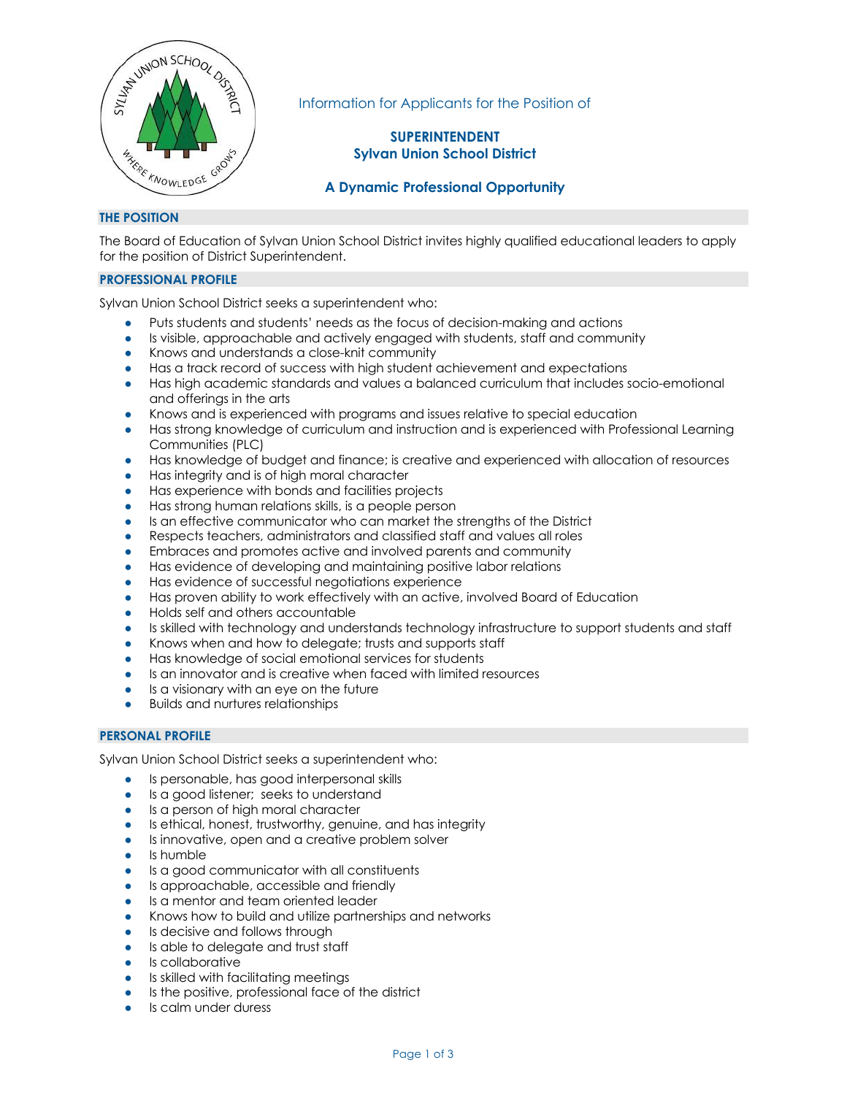

Information for Applicants for the Position of

# **SUPERINTENDENT Sylvan Union School District**

# **A Dynamic Professional Opportunity**

## **THE POSITION**

The Board of Education of Sylvan Union School District invites highly qualified educational leaders to apply for the position of District Superintendent.

## **PROFESSIONAL PROFILE**

Sylvan Union School District seeks a superintendent who:

- Puts students and students' needs as the focus of decision-making and actions
- Is visible, approachable and actively engaged with students, staff and community
- Knows and understands a close-knit community
- Has a track record of success with high student achievement and expectations
- Has high academic standards and values a balanced curriculum that includes socio-emotional and offerings in the arts
- Knows and is experienced with programs and issues relative to special education
- Has strong knowledge of curriculum and instruction and is experienced with Professional Learning Communities (PLC)
- Has knowledge of budget and finance; is creative and experienced with allocation of resources
- Has integrity and is of high moral character
- Has experience with bonds and facilities projects
- Has strong human relations skills, is a people person
- Is an effective communicator who can market the strengths of the District
- Respects teachers, administrators and classified staff and values all roles
- Embraces and promotes active and involved parents and community
- Has evidence of developing and maintaining positive labor relations
- Has evidence of successful negotiations experience
- Has proven ability to work effectively with an active, involved Board of Education
- Holds self and others accountable
- Is skilled with technology and understands technology infrastructure to support students and staff
- Knows when and how to delegate; trusts and supports staff
- Has knowledge of social emotional services for students
- Is an innovator and is creative when faced with limited resources
- Is a visionary with an eye on the future
- **Builds and nurtures relationships**

### **PERSONAL PROFILE**

Sylvan Union School District seeks a superintendent who:

- Is personable, has good interpersonal skills
- Is a good listener; seeks to understand
- Is a person of high moral character
- Is ethical, honest, trustworthy, genuine, and has integrity
- Is innovative, open and a creative problem solver
- Is humble
- Is a good communicator with all constituents
- Is approachable, accessible and friendly
- Is a mentor and team oriented leader
- Knows how to build and utilize partnerships and networks
- Is decisive and follows through
- Is able to delegate and trust staff
- Is collaborative
- Is skilled with facilitating meetings
- Is the positive, professional face of the district
- Is calm under duress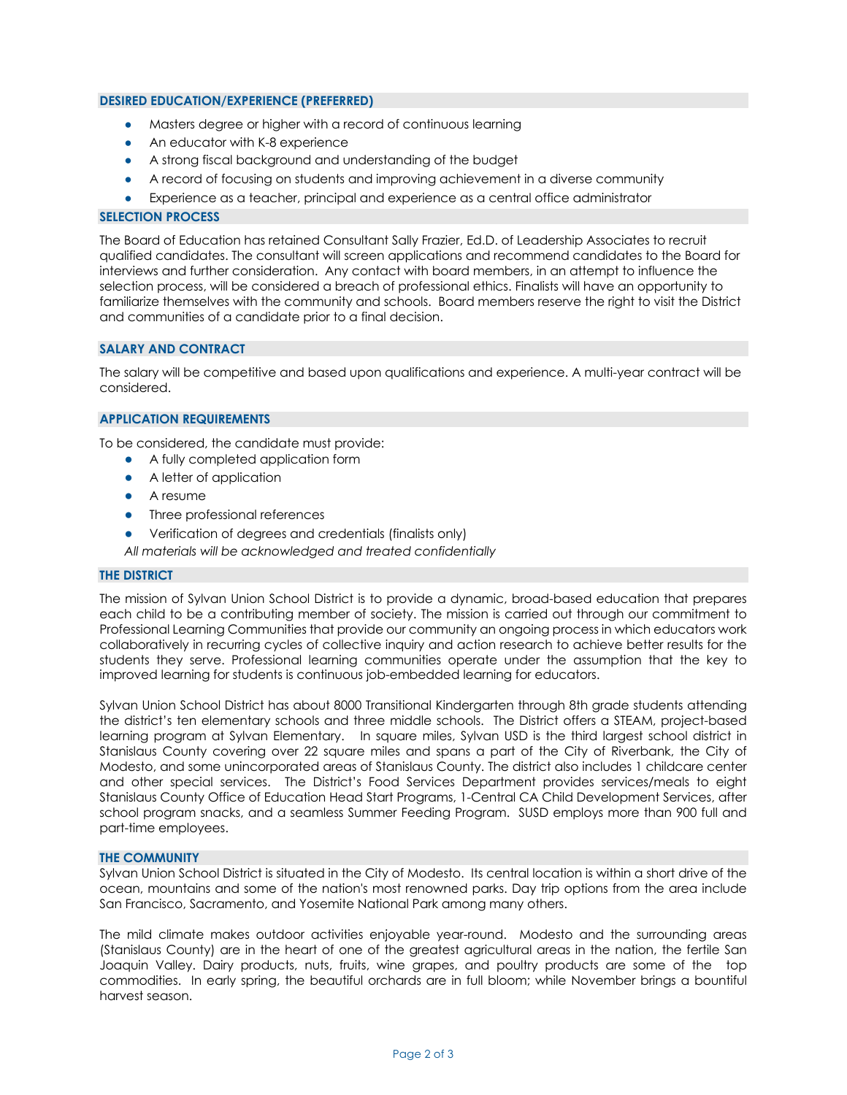### **DESIRED EDUCATION/EXPERIENCE (PREFERRED)**

- Masters degree or higher with a record of continuous learning
- An educator with K-8 experience
- A strong fiscal background and understanding of the budget
- A record of focusing on students and improving achievement in a diverse community
- Experience as a teacher, principal and experience as a central office administrator

#### **SELECTION PROCESS**

The Board of Education has retained Consultant Sally Frazier, Ed.D. of Leadership Associates to recruit qualified candidates. The consultant will screen applications and recommend candidates to the Board for interviews and further consideration. Any contact with board members, in an attempt to influence the selection process, will be considered a breach of professional ethics. Finalists will have an opportunity to familiarize themselves with the community and schools. Board members reserve the right to visit the District and communities of a candidate prior to a final decision.

## **SALARY AND CONTRACT**

The salary will be competitive and based upon qualifications and experience. A multi-year contract will be considered.

### **APPLICATION REQUIREMENTS**

To be considered, the candidate must provide:

- A fully completed application form
- A letter of application
- A resume
- Three professional references
- Verification of degrees and credentials (finalists only)

*All materials will be acknowledged and treated confidentially*

#### **THE DISTRICT**

The mission of Sylvan Union School District is to provide a dynamic, broad-based education that prepares each child to be a contributing member of society. The mission is carried out through our commitment to Professional Learning Communities that provide our community an ongoing process in which educators work collaboratively in recurring cycles of collective inquiry and action research to achieve better results for the students they serve. Professional learning communities operate under the assumption that the key to improved learning for students is continuous job-embedded learning for educators.

Sylvan Union School District has about 8000 Transitional Kindergarten through 8th grade students attending the district's ten elementary schools and three middle schools. The District offers a STEAM, project-based learning program at Sylvan Elementary. In square miles, Sylvan USD is the third largest school district in Stanislaus County covering over 22 square miles and spans a part of the City of Riverbank, the City of Modesto, and some unincorporated areas of Stanislaus County. The district also includes 1 childcare center and other special services. The District's Food Services Department provides services/meals to eight Stanislaus County Office of Education Head Start Programs, 1-Central CA Child Development Services, after school program snacks, and a seamless Summer Feeding Program. SUSD employs more than 900 full and part-time employees.

#### **THE COMMUNITY**

Sylvan Union School District is situated in the City of Modesto. Its central location is within a short drive of the ocean, mountains and some of the nation's most renowned parks. Day trip options from the area include San Francisco, Sacramento, and Yosemite National Park among many others.

The mild climate makes outdoor activities enjoyable year-round. Modesto and the surrounding areas (Stanislaus County) are in the heart of one of the greatest agricultural areas in the nation, the fertile San Joaquin Valley. Dairy products, nuts, fruits, wine grapes, and poultry products are some of the top commodities. In early spring, the beautiful orchards are in full bloom; while November brings a bountiful harvest season.